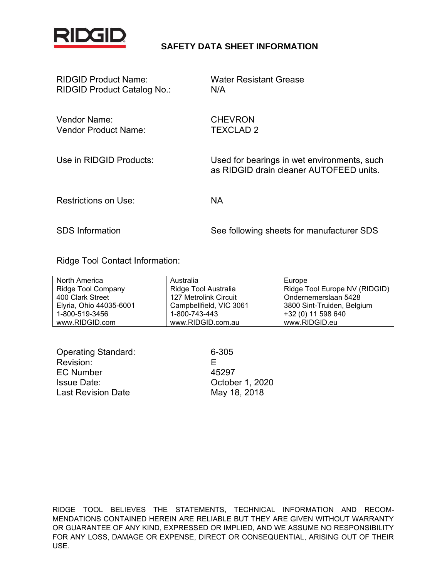

## **SAFETY DATA SHEET INFORMATION**

| <b>RIDGID Product Name:</b>        | Wat |
|------------------------------------|-----|
| <b>RIDGID Product Catalog No.:</b> | N/A |

**Water Resistant Grease** 

Vendor Name: CHEVRON Vendor Product Name: TEXCLAD 2

Use in RIDGID Products: Used for bearings in wet environments, such as RIDGID drain cleaner AUTOFEED units.

Restrictions on Use: NA

SDS Information See following sheets for manufacturer SDS

Ridge Tool Contact Information:

| North America           | Australia               | Europe                        |
|-------------------------|-------------------------|-------------------------------|
| Ridge Tool Company      | Ridge Tool Australia    | Ridge Tool Europe NV (RIDGID) |
| 400 Clark Street        | 127 Metrolink Circuit   | Ondernemerslaan 5428          |
| Elyria, Ohio 44035-6001 | Campbellfield, VIC 3061 | 3800 Sint-Truiden, Belgium    |
| 1-800-519-3456          | 1-800-743-443           | +32 (0) 11 598 640            |
| www.RIDGID.com          | www.RIDGID.com.au       | www.RIDGID.eu                 |

| <b>Operating Standard:</b> | 6-305           |
|----------------------------|-----------------|
| Revision:                  | E               |
| <b>EC Number</b>           | 45297           |
| <b>Issue Date:</b>         | October 1, 2020 |
| <b>Last Revision Date</b>  | May 18, 2018    |

RIDGE TOOL BELIEVES THE STATEMENTS, TECHNICAL INFORMATION AND RECOM-MENDATIONS CONTAINED HEREIN ARE RELIABLE BUT THEY ARE GIVEN WITHOUT WARRANTY OR GUARANTEE OF ANY KIND, EXPRESSED OR IMPLIED, AND WE ASSUME NO RESPONSIBILITY FOR ANY LOSS, DAMAGE OR EXPENSE, DIRECT OR CONSEQUENTIAL, ARISING OUT OF THEIR USE.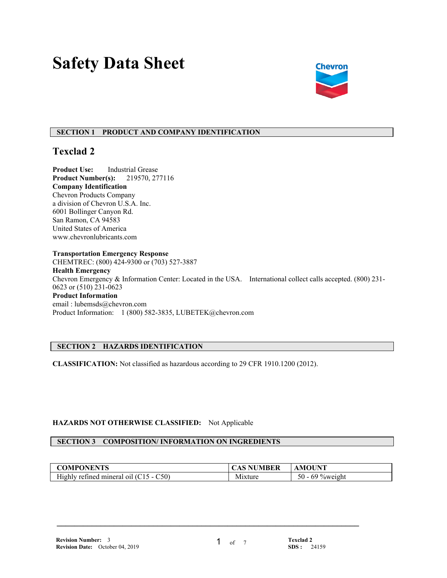# **Safety Data Sheet**



## **SECTION 1 PRODUCT AND COMPANY IDENTIFICATION**

# **Texclad 2**

**Product Use:** Industrial Grease **Product Number(s):** 219570, 277116 **Company Identification** Chevron Products Company a division of Chevron U.S.A. Inc. 6001 Bollinger Canyon Rd. San Ramon, CA 94583 United States of America www.chevronlubricants.com

## **Transportation Emergency Response**

CHEMTREC: (800) 424-9300 or (703) 527-3887 **Health Emergency** Chevron Emergency & Information Center: Located in the USA. International collect calls accepted. (800) 231- 0623 or (510) 231-0623 **Product Information** email : lubemsds@chevron.com Product Information: 1 (800) 582-3835, LUBETEK@chevron.com

## **SECTION 2 HAZARDS IDENTIFICATION**

**CLASSIFICATION:** Not classified as hazardous according to 29 CFR 1910.1200 (2012).

## **HAZARDS NOT OTHERWISE CLASSIFIED:** Not Applicable

## **SECTION 3 COMPOSITION/ INFORMATION ON INGREDIENTS**

| COMPONENTS                               | NUMBER                  | MOUNT                                    |
|------------------------------------------|-------------------------|------------------------------------------|
| Highly refined<br>C50)<br>mineral<br>011 | $\mathbf{r}$<br>Mixture | 50<br>$\sim$ 0 $\prime$<br>%weight<br>n, |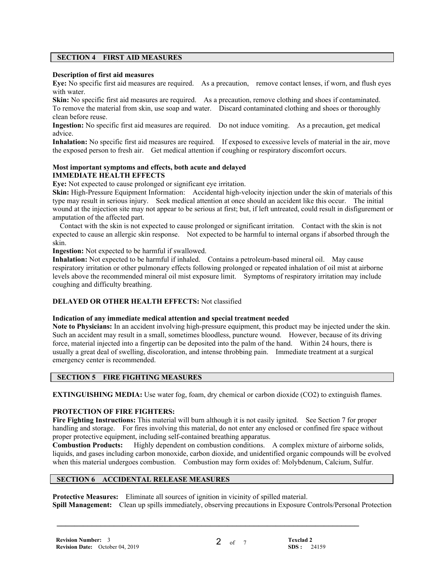## **SECTION 4 FIRST AID MEASURES**

#### **Description of first aid measures**

**Eye:** No specific first aid measures are required. As a precaution, remove contact lenses, if worn, and flush eyes with water.

**Skin:** No specific first aid measures are required. As a precaution, remove clothing and shoes if contaminated. To remove the material from skin, use soap and water. Discard contaminated clothing and shoes or thoroughly clean before reuse.

**Ingestion:** No specific first aid measures are required. Do not induce vomiting. As a precaution, get medical advice.

**Inhalation:** No specific first aid measures are required. If exposed to excessive levels of material in the air, move the exposed person to fresh air. Get medical attention if coughing or respiratory discomfort occurs.

#### **Most important symptoms and effects, both acute and delayed IMMEDIATE HEALTH EFFECTS**

**Eye:** Not expected to cause prolonged or significant eye irritation.

**Skin:** High-Pressure Equipment Information: Accidental high-velocity injection under the skin of materials of this type may result in serious injury. Seek medical attention at once should an accident like this occur. The initial wound at the injection site may not appear to be serious at first; but, if left untreated, could result in disfigurement or amputation of the affected part.

 Contact with the skin is not expected to cause prolonged or significant irritation. Contact with the skin is not expected to cause an allergic skin response. Not expected to be harmful to internal organs if absorbed through the skin.

**Ingestion:** Not expected to be harmful if swallowed.

**Inhalation:** Not expected to be harmful if inhaled. Contains a petroleum-based mineral oil. May cause respiratory irritation or other pulmonary effects following prolonged or repeated inhalation of oil mist at airborne levels above the recommended mineral oil mist exposure limit. Symptoms of respiratory irritation may include coughing and difficulty breathing.

#### **DELAYED OR OTHER HEALTH EFFECTS:** Not classified

#### **Indication of any immediate medical attention and special treatment needed**

**Note to Physicians:** In an accident involving high-pressure equipment, this product may be injected under the skin. Such an accident may result in a small, sometimes bloodless, puncture wound. However, because of its driving force, material injected into a fingertip can be deposited into the palm of the hand. Within 24 hours, there is usually a great deal of swelling, discoloration, and intense throbbing pain. Immediate treatment at a surgical emergency center is recommended.

## **SECTION 5 FIRE FIGHTING MEASURES**

**EXTINGUISHING MEDIA:** Use water fog, foam, dry chemical or carbon dioxide (CO2) to extinguish flames.

#### **PROTECTION OF FIRE FIGHTERS:**

**Fire Fighting Instructions:** This material will burn although it is not easily ignited. See Section 7 for proper handling and storage. For fires involving this material, do not enter any enclosed or confined fire space without proper protective equipment, including self-contained breathing apparatus.

**Combustion Products:** Highly dependent on combustion conditions. A complex mixture of airborne solids, liquids, and gases including carbon monoxide, carbon dioxide, and unidentified organic compounds will be evolved when this material undergoes combustion. Combustion may form oxides of: Molybdenum, Calcium, Sulfur.

## **SECTION 6 ACCIDENTAL RELEASE MEASURES**

**Protective Measures:** Eliminate all sources of ignition in vicinity of spilled material. **Spill Management:** Clean up spills immediately, observing precautions in Exposure Controls/Personal Protection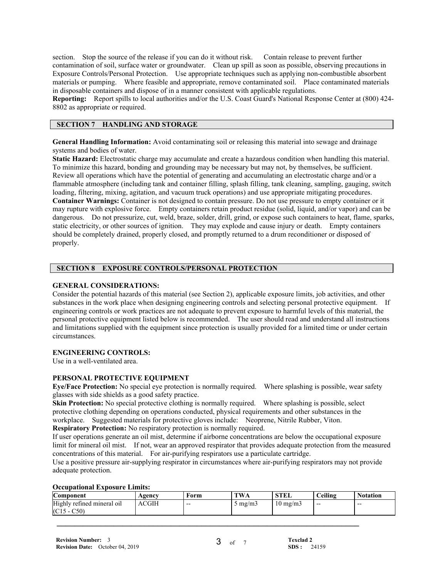section. Stop the source of the release if you can do it without risk. Contain release to prevent further contamination of soil, surface water or groundwater. Clean up spill as soon as possible, observing precautions in Exposure Controls/Personal Protection. Use appropriate techniques such as applying non-combustible absorbent materials or pumping. Where feasible and appropriate, remove contaminated soil. Place contaminated materials in disposable containers and dispose of in a manner consistent with applicable regulations.

**Reporting:** Report spills to local authorities and/or the U.S. Coast Guard's National Response Center at (800) 424- 8802 as appropriate or required.

## **SECTION 7 HANDLING AND STORAGE**

**General Handling Information:** Avoid contaminating soil or releasing this material into sewage and drainage systems and bodies of water.

**Static Hazard:** Electrostatic charge may accumulate and create a hazardous condition when handling this material. To minimize this hazard, bonding and grounding may be necessary but may not, by themselves, be sufficient. Review all operations which have the potential of generating and accumulating an electrostatic charge and/or a flammable atmosphere (including tank and container filling, splash filling, tank cleaning, sampling, gauging, switch loading, filtering, mixing, agitation, and vacuum truck operations) and use appropriate mitigating procedures. **Container Warnings:** Container is not designed to contain pressure. Do not use pressure to empty container or it may rupture with explosive force. Empty containers retain product residue (solid, liquid, and/or vapor) and can be dangerous. Do not pressurize, cut, weld, braze, solder, drill, grind, or expose such containers to heat, flame, sparks, static electricity, or other sources of ignition. They may explode and cause injury or death. Empty containers should be completely drained, properly closed, and promptly returned to a drum reconditioner or disposed of properly.

## **SECTION 8 EXPOSURE CONTROLS/PERSONAL PROTECTION**

#### **GENERAL CONSIDERATIONS:**

Consider the potential hazards of this material (see Section 2), applicable exposure limits, job activities, and other substances in the work place when designing engineering controls and selecting personal protective equipment. If engineering controls or work practices are not adequate to prevent exposure to harmful levels of this material, the personal protective equipment listed below is recommended. The user should read and understand all instructions and limitations supplied with the equipment since protection is usually provided for a limited time or under certain circumstances.

#### **ENGINEERING CONTROLS:**

Use in a well-ventilated area.

#### **PERSONAL PROTECTIVE EQUIPMENT**

**Eye/Face Protection:** No special eye protection is normally required. Where splashing is possible, wear safety glasses with side shields as a good safety practice.

**Skin Protection:** No special protective clothing is normally required. Where splashing is possible, select protective clothing depending on operations conducted, physical requirements and other substances in the workplace. Suggested materials for protective gloves include: Neoprene, Nitrile Rubber, Viton. **Respiratory Protection:** No respiratory protection is normally required.

If user operations generate an oil mist, determine if airborne concentrations are below the occupational exposure limit for mineral oil mist. If not, wear an approved respirator that provides adequate protection from the measured concentrations of this material. For air-purifying respirators use a particulate cartridge.

Use a positive pressure air-supplying respirator in circumstances where air-purifying respirators may not provide adequate protection.

#### **Occupational Exposure Limits:**

| <b>Component</b>           | Agency       | ∀orm  | TWA  | <b>STEL</b>       | <i>c</i> eiling | <b>Notation</b> |
|----------------------------|--------------|-------|------|-------------------|-----------------|-----------------|
| Highly refined mineral oil | <b>ACGIH</b> | $- -$ | mg/m | $10 \text{ mg/m}$ | $- -$           | $- -$           |
| C50<br>(C15                |              |       |      |                   |                 |                 |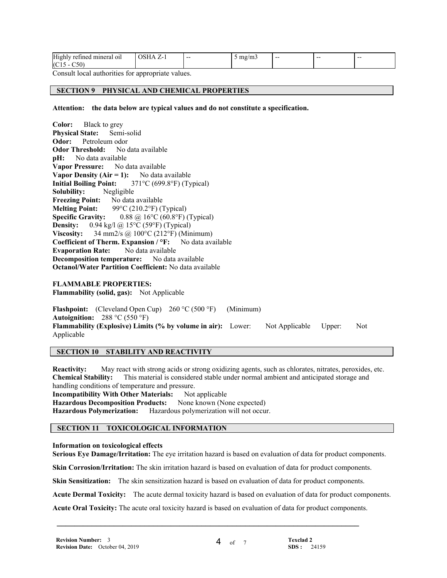| High<br>mineral<br>$^{\mathrm{!}}$ 011<br>refined<br>. | HА<br>the company's company's company's company's company's company's company's company's | --- | $m\Omega/\Gamma$<br>711L | --- | -- | --- |
|--------------------------------------------------------|-------------------------------------------------------------------------------------------|-----|--------------------------|-----|----|-----|
| C50<br>$(C^{\dagger})$                                 |                                                                                           |     |                          |     |    |     |

Consult local authorities for appropriate values.

#### **SECTION 9 PHYSICAL AND CHEMICAL PROPERTIES**

#### **Attention: the data below are typical values and do not constitute a specification.**

**Color:** Black to grey **Physical State:** Semi-solid **Odor:** Petroleum odor<br>**Odor Threshold:** No data available **Odor Threshold: pH:** No data available **Vapor Pressure:** No data available **Vapor Density (Air = 1):** No data available **Initial Boiling Point:** 371°C (699.8°F) (Typical) **Solubility:** Negligible **Freezing Point:** No data available **Melting Point:** 99°C (210.2°F) (Typical) **Specific Gravity:** 0.88 @ 16°C (60.8°F) (Typical) **Density:** 0.94 kg/l @ 15°C (59°F) (Typical) **Viscosity:** 34 mm2/s @ 100°C (212°F) (Minimum) **Coefficient of Therm. Expansion / °F:** No data available **Evaporation Rate:** No data available **Decomposition temperature:** No data available **Octanol/Water Partition Coefficient:** No data available **FLAMMABLE PROPERTIES: Flammability (solid, gas):** Not Applicable

**Flashpoint:** (Cleveland Open Cup) 260 °C (500 °F) (Minimum) **Autoignition:** 288 °C (550 °F) **Flammability (Explosive) Limits (% by volume in air):** Lower: Not Applicable Upper: Not Applicable

## **SECTION 10 STABILITY AND REACTIVITY**

**Reactivity:** May react with strong acids or strong oxidizing agents, such as chlorates, nitrates, peroxides, etc. **Chemical Stability:** This material is considered stable under normal ambient and anticipated storage and handling conditions of temperature and pressure.

**Incompatibility With Other Materials:** Not applicable **Hazardous Decomposition Products:** None known (None expected) **Hazardous Polymerization:** Hazardous polymerization will not occur.

## **SECTION 11 TOXICOLOGICAL INFORMATION**

#### **Information on toxicological effects**

**Serious Eye Damage/Irritation:** The eye irritation hazard is based on evaluation of data for product components.

**Skin Corrosion/Irritation:** The skin irritation hazard is based on evaluation of data for product components.

**Skin Sensitization:** The skin sensitization hazard is based on evaluation of data for product components.

**Acute Dermal Toxicity:** The acute dermal toxicity hazard is based on evaluation of data for product components.

**Acute Oral Toxicity:** The acute oral toxicity hazard is based on evaluation of data for product components.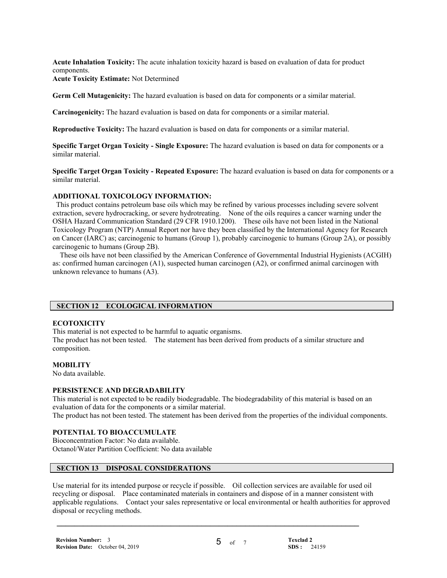**Acute Inhalation Toxicity:** The acute inhalation toxicity hazard is based on evaluation of data for product components. **Acute Toxicity Estimate:** Not Determined

**Germ Cell Mutagenicity:** The hazard evaluation is based on data for components or a similar material.

**Carcinogenicity:** The hazard evaluation is based on data for components or a similar material.

**Reproductive Toxicity:** The hazard evaluation is based on data for components or a similar material.

**Specific Target Organ Toxicity - Single Exposure:** The hazard evaluation is based on data for components or a similar material.

**Specific Target Organ Toxicity - Repeated Exposure:** The hazard evaluation is based on data for components or a similar material.

#### **ADDITIONAL TOXICOLOGY INFORMATION:**

 This product contains petroleum base oils which may be refined by various processes including severe solvent extraction, severe hydrocracking, or severe hydrotreating. None of the oils requires a cancer warning under the OSHA Hazard Communication Standard (29 CFR 1910.1200). These oils have not been listed in the National Toxicology Program (NTP) Annual Report nor have they been classified by the International Agency for Research on Cancer (IARC) as; carcinogenic to humans (Group 1), probably carcinogenic to humans (Group 2A), or possibly carcinogenic to humans (Group 2B).

 These oils have not been classified by the American Conference of Governmental Industrial Hygienists (ACGIH) as: confirmed human carcinogen (A1), suspected human carcinogen (A2), or confirmed animal carcinogen with unknown relevance to humans (A3).

## **SECTION 12 ECOLOGICAL INFORMATION**

#### **ECOTOXICITY**

This material is not expected to be harmful to aquatic organisms.

The product has not been tested. The statement has been derived from products of a similar structure and composition.

## **MOBILITY**

No data available.

#### **PERSISTENCE AND DEGRADABILITY**

This material is not expected to be readily biodegradable. The biodegradability of this material is based on an evaluation of data for the components or a similar material.

The product has not been tested. The statement has been derived from the properties of the individual components.

#### **POTENTIAL TO BIOACCUMULATE**

Bioconcentration Factor: No data available. Octanol/Water Partition Coefficient: No data available

## **SECTION 13 DISPOSAL CONSIDERATIONS**

Use material for its intended purpose or recycle if possible. Oil collection services are available for used oil recycling or disposal. Place contaminated materials in containers and dispose of in a manner consistent with applicable regulations. Contact your sales representative or local environmental or health authorities for approved disposal or recycling methods.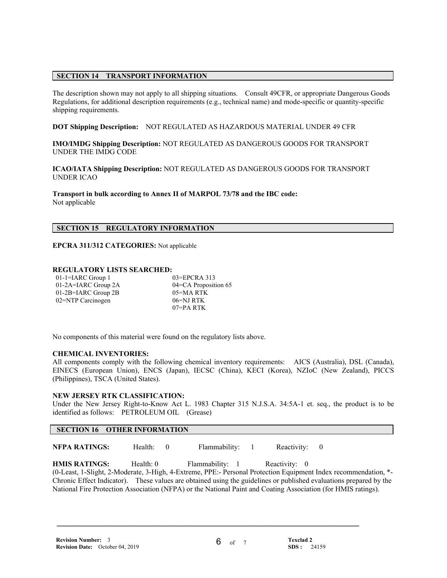## **SECTION 14 TRANSPORT INFORMATION**

The description shown may not apply to all shipping situations. Consult 49CFR, or appropriate Dangerous Goods Regulations, for additional description requirements (e.g., technical name) and mode-specific or quantity-specific shipping requirements.

## **DOT Shipping Description:** NOT REGULATED AS HAZARDOUS MATERIAL UNDER 49 CFR

**IMO/IMDG Shipping Description:** NOT REGULATED AS DANGEROUS GOODS FOR TRANSPORT UNDER THE IMDG CODE

**ICAO/IATA Shipping Description:** NOT REGULATED AS DANGEROUS GOODS FOR TRANSPORT UNDER ICAO

**Transport in bulk according to Annex II of MARPOL 73/78 and the IBC code:** Not applicable

## **SECTION 15 REGULATORY INFORMATION**

## **EPCRA 311/312 CATEGORIES:** Not applicable

#### **REGULATORY LISTS SEARCHED:**

01-1=IARC Group 1 03=EPCRA 313 01-2A=IARC Group 2A 04=CA Proposition 65 01-2B=IARC Group 2B 05=MA RTK 02=NTP Carcinogen 06=NJ RTK

07=PA RTK

No components of this material were found on the regulatory lists above.

## **CHEMICAL INVENTORIES:**

All components comply with the following chemical inventory requirements: AICS (Australia), DSL (Canada), EINECS (European Union), ENCS (Japan), IECSC (China), KECI (Korea), NZIoC (New Zealand), PICCS (Philippines), TSCA (United States).

## **NEW JERSEY RTK CLASSIFICATION:**

Under the New Jersey Right-to-Know Act L. 1983 Chapter 315 N.J.S.A. 34:5A-1 et. seq., the product is to be identified as follows: PETROLEUM OIL (Grease)

## **SECTION 16 OTHER INFORMATION**

**NFPA RATINGS:** Health: 0 Flammability: 1 Reactivity: 0

**HMIS RATINGS:** Health: 0 Flammability: 1 Reactivity: 0 (0-Least, 1-Slight, 2-Moderate, 3-High, 4-Extreme, PPE:- Personal Protection Equipment Index recommendation, \*- Chronic Effect Indicator). These values are obtained using the guidelines or published evaluations prepared by the National Fire Protection Association (NFPA) or the National Paint and Coating Association (for HMIS ratings).